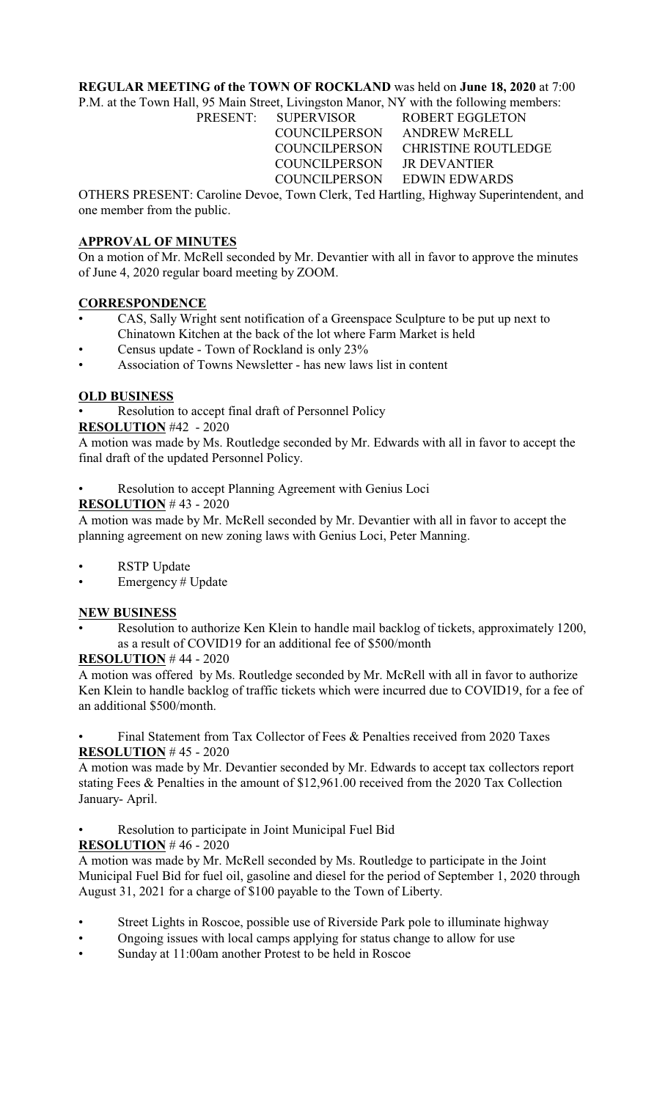# **REGULAR MEETING of the TOWN OF ROCKLAND** was held on **June 18, 2020** at 7:00

P.M. at the Town Hall, 95 Main Street, Livingston Manor, NY with the following members:

PRESENT: SUPERVISOR ROBERT EGGLETON COUNCILPERSON ANDREW McRELL COUNCILPERSON CHRISTINE ROUTLEDGE COUNCILPERSON JR DEVANTIER COUNCILPERSON EDWIN EDWARDS

OTHERS PRESENT: Caroline Devoe, Town Clerk, Ted Hartling, Highway Superintendent, and one member from the public.

# **APPROVAL OF MINUTES**

On a motion of Mr. McRell seconded by Mr. Devantier with all in favor to approve the minutes of June 4, 2020 regular board meeting by ZOOM.

### **CORRESPONDENCE**

- CAS, Sally Wright sent notification of a Greenspace Sculpture to be put up next to Chinatown Kitchen at the back of the lot where Farm Market is held
- Census update Town of Rockland is only 23%
- Association of Towns Newsletter has new laws list in content

## **OLD BUSINESS**

Resolution to accept final draft of Personnel Policy

## **RESOLUTION** #42 - 2020

A motion was made by Ms. Routledge seconded by Mr. Edwards with all in favor to accept the final draft of the updated Personnel Policy.

Resolution to accept Planning Agreement with Genius Loci

## **RESOLUTION** # 43 - 2020

A motion was made by Mr. McRell seconded by Mr. Devantier with all in favor to accept the planning agreement on new zoning laws with Genius Loci, Peter Manning.

- **RSTP** Update
- Emergency # Update

### **NEW BUSINESS**

• Resolution to authorize Ken Klein to handle mail backlog of tickets, approximately 1200, as a result of COVID19 for an additional fee of \$500/month

### **RESOLUTION** # 44 - 2020

A motion was offered by Ms. Routledge seconded by Mr. McRell with all in favor to authorize Ken Klein to handle backlog of traffic tickets which were incurred due to COVID19, for a fee of an additional \$500/month.

Final Statement from Tax Collector of Fees & Penalties received from 2020 Taxes **RESOLUTION** # 45 - 2020

A motion was made by Mr. Devantier seconded by Mr. Edwards to accept tax collectors report stating Fees & Penalties in the amount of \$12,961.00 received from the 2020 Tax Collection January- April.

Resolution to participate in Joint Municipal Fuel Bid

### **RESOLUTION** # 46 - 2020

A motion was made by Mr. McRell seconded by Ms. Routledge to participate in the Joint Municipal Fuel Bid for fuel oil, gasoline and diesel for the period of September 1, 2020 through August 31, 2021 for a charge of \$100 payable to the Town of Liberty.

- Street Lights in Roscoe, possible use of Riverside Park pole to illuminate highway
- Ongoing issues with local camps applying for status change to allow for use
- Sunday at 11:00am another Protest to be held in Roscoe